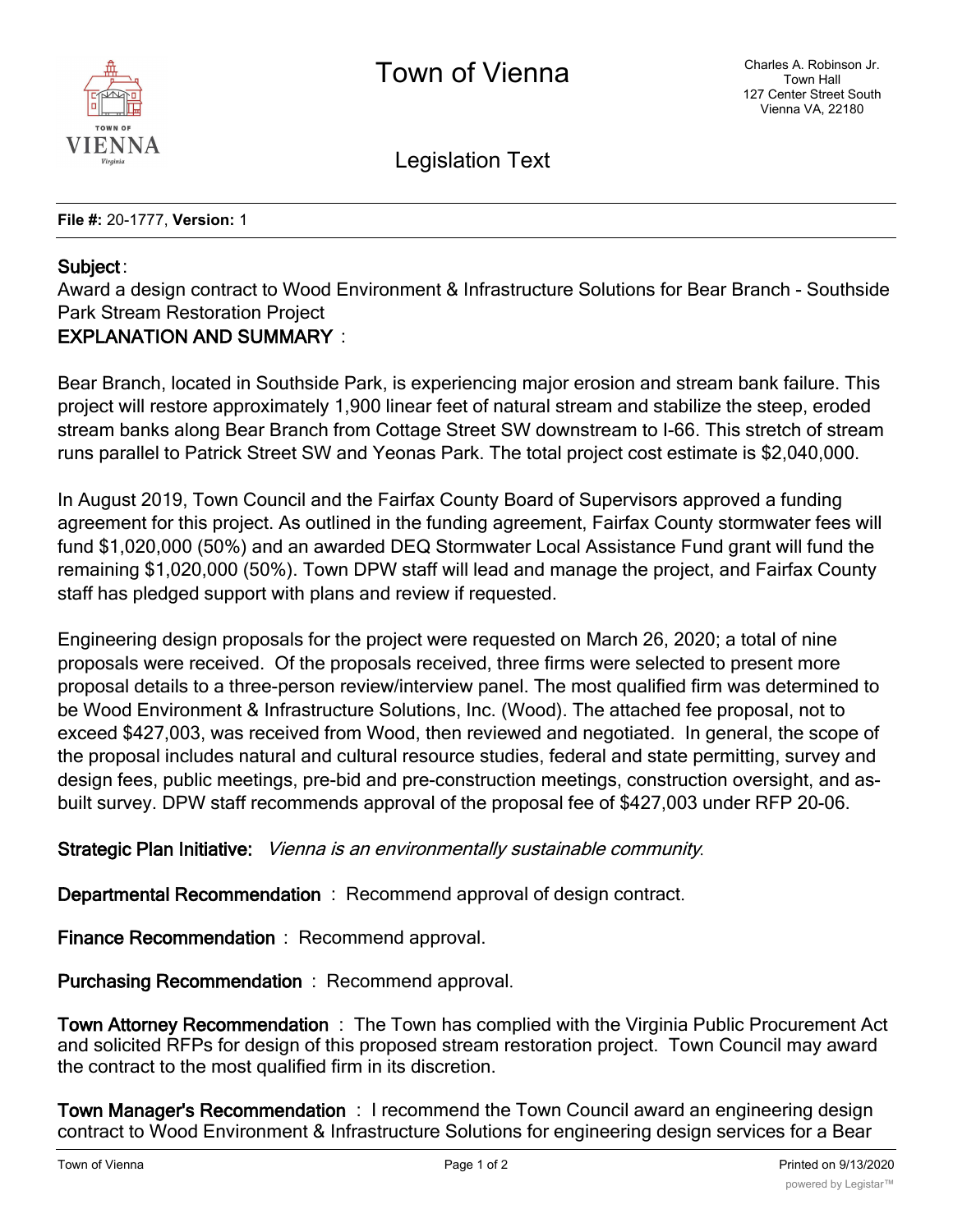

Legislation Text

**File #:** 20-1777, **Version:** 1

## **Subject** :

Award a design contract to Wood Environment & Infrastructure Solutions for Bear Branch - Southside Park Stream Restoration Project

## **EXPLANATION AND SUMMARY** :

Bear Branch, located in Southside Park, is experiencing major erosion and stream bank failure. This project will restore approximately 1,900 linear feet of natural stream and stabilize the steep, eroded stream banks along Bear Branch from Cottage Street SW downstream to I-66. This stretch of stream runs parallel to Patrick Street SW and Yeonas Park. The total project cost estimate is \$2,040,000.

In August 2019, Town Council and the Fairfax County Board of Supervisors approved a funding agreement for this project. As outlined in the funding agreement, Fairfax County stormwater fees will fund \$1,020,000 (50%) and an awarded DEQ Stormwater Local Assistance Fund grant will fund the remaining \$1,020,000 (50%). Town DPW staff will lead and manage the project, and Fairfax County staff has pledged support with plans and review if requested.

Engineering design proposals for the project were requested on March 26, 2020; a total of nine proposals were received. Of the proposals received, three firms were selected to present more proposal details to a three-person review/interview panel. The most qualified firm was determined to be Wood Environment & Infrastructure Solutions, Inc. (Wood). The attached fee proposal, not to exceed \$427,003, was received from Wood, then reviewed and negotiated. In general, the scope of the proposal includes natural and cultural resource studies, federal and state permitting, survey and design fees, public meetings, pre-bid and pre-construction meetings, construction oversight, and asbuilt survey. DPW staff recommends approval of the proposal fee of \$427,003 under RFP 20-06.

**Strategic Plan Initiative:** *Vienna is an environmentally sustainable community.*

**Departmental Recommendation** : Recommend approval of design contract.

**Finance Recommendation** : Recommend approval.

**Purchasing Recommendation** : Recommend approval.

**Town Attorney Recommendation** : The Town has complied with the Virginia Public Procurement Act and solicited RFPs for design of this proposed stream restoration project. Town Council may award the contract to the most qualified firm in its discretion.

**Town Manager's Recommendation** : I recommend the Town Council award an engineering design contract to Wood Environment & Infrastructure Solutions for engineering design services for a Bear